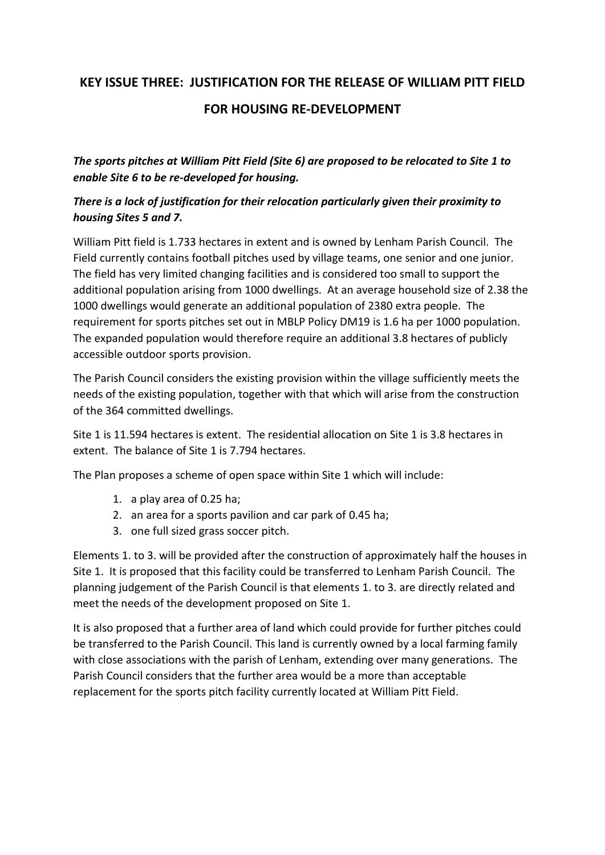## **KEY ISSUE THREE: JUSTIFICATION FOR THE RELEASE OF WILLIAM PITT FIELD FOR HOUSING RE-DEVELOPMENT**

*The sports pitches at William Pitt Field (Site 6) are proposed to be relocated to Site 1 to enable Site 6 to be re-developed for housing.*

## *There is a lock of justification for their relocation particularly given their proximity to housing Sites 5 and 7.*

William Pitt field is 1.733 hectares in extent and is owned by Lenham Parish Council. The Field currently contains football pitches used by village teams, one senior and one junior. The field has very limited changing facilities and is considered too small to support the additional population arising from 1000 dwellings. At an average household size of 2.38 the 1000 dwellings would generate an additional population of 2380 extra people. The requirement for sports pitches set out in MBLP Policy DM19 is 1.6 ha per 1000 population. The expanded population would therefore require an additional 3.8 hectares of publicly accessible outdoor sports provision.

The Parish Council considers the existing provision within the village sufficiently meets the needs of the existing population, together with that which will arise from the construction of the 364 committed dwellings.

Site 1 is 11.594 hectares is extent. The residential allocation on Site 1 is 3.8 hectares in extent. The balance of Site 1 is 7.794 hectares.

The Plan proposes a scheme of open space within Site 1 which will include:

- 1. a play area of 0.25 ha;
- 2. an area for a sports pavilion and car park of 0.45 ha;
- 3. one full sized grass soccer pitch.

Elements 1. to 3. will be provided after the construction of approximately half the houses in Site 1. It is proposed that this facility could be transferred to Lenham Parish Council. The planning judgement of the Parish Council is that elements 1. to 3. are directly related and meet the needs of the development proposed on Site 1.

It is also proposed that a further area of land which could provide for further pitches could be transferred to the Parish Council. This land is currently owned by a local farming family with close associations with the parish of Lenham, extending over many generations. The Parish Council considers that the further area would be a more than acceptable replacement for the sports pitch facility currently located at William Pitt Field.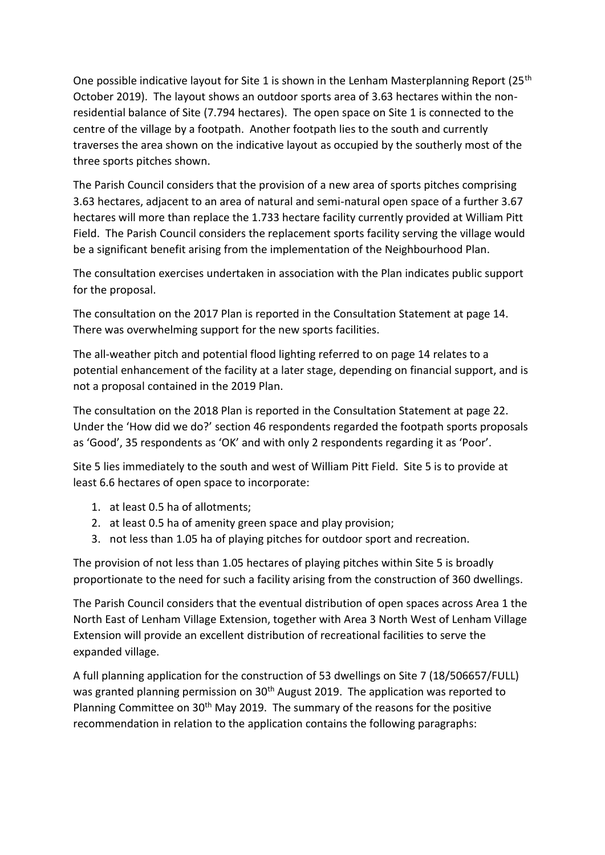One possible indicative layout for Site 1 is shown in the Lenham Masterplanning Report ( $25<sup>th</sup>$ October 2019). The layout shows an outdoor sports area of 3.63 hectares within the nonresidential balance of Site (7.794 hectares). The open space on Site 1 is connected to the centre of the village by a footpath. Another footpath lies to the south and currently traverses the area shown on the indicative layout as occupied by the southerly most of the three sports pitches shown.

The Parish Council considers that the provision of a new area of sports pitches comprising 3.63 hectares, adjacent to an area of natural and semi-natural open space of a further 3.67 hectares will more than replace the 1.733 hectare facility currently provided at William Pitt Field. The Parish Council considers the replacement sports facility serving the village would be a significant benefit arising from the implementation of the Neighbourhood Plan.

The consultation exercises undertaken in association with the Plan indicates public support for the proposal.

The consultation on the 2017 Plan is reported in the Consultation Statement at page 14. There was overwhelming support for the new sports facilities.

The all-weather pitch and potential flood lighting referred to on page 14 relates to a potential enhancement of the facility at a later stage, depending on financial support, and is not a proposal contained in the 2019 Plan.

The consultation on the 2018 Plan is reported in the Consultation Statement at page 22. Under the 'How did we do?' section 46 respondents regarded the footpath sports proposals as 'Good', 35 respondents as 'OK' and with only 2 respondents regarding it as 'Poor'.

Site 5 lies immediately to the south and west of William Pitt Field. Site 5 is to provide at least 6.6 hectares of open space to incorporate:

- 1. at least 0.5 ha of allotments;
- 2. at least 0.5 ha of amenity green space and play provision;
- 3. not less than 1.05 ha of playing pitches for outdoor sport and recreation.

The provision of not less than 1.05 hectares of playing pitches within Site 5 is broadly proportionate to the need for such a facility arising from the construction of 360 dwellings.

The Parish Council considers that the eventual distribution of open spaces across Area 1 the North East of Lenham Village Extension, together with Area 3 North West of Lenham Village Extension will provide an excellent distribution of recreational facilities to serve the expanded village.

A full planning application for the construction of 53 dwellings on Site 7 (18/506657/FULL) was granted planning permission on 30<sup>th</sup> August 2019. The application was reported to Planning Committee on 30<sup>th</sup> May 2019. The summary of the reasons for the positive recommendation in relation to the application contains the following paragraphs: